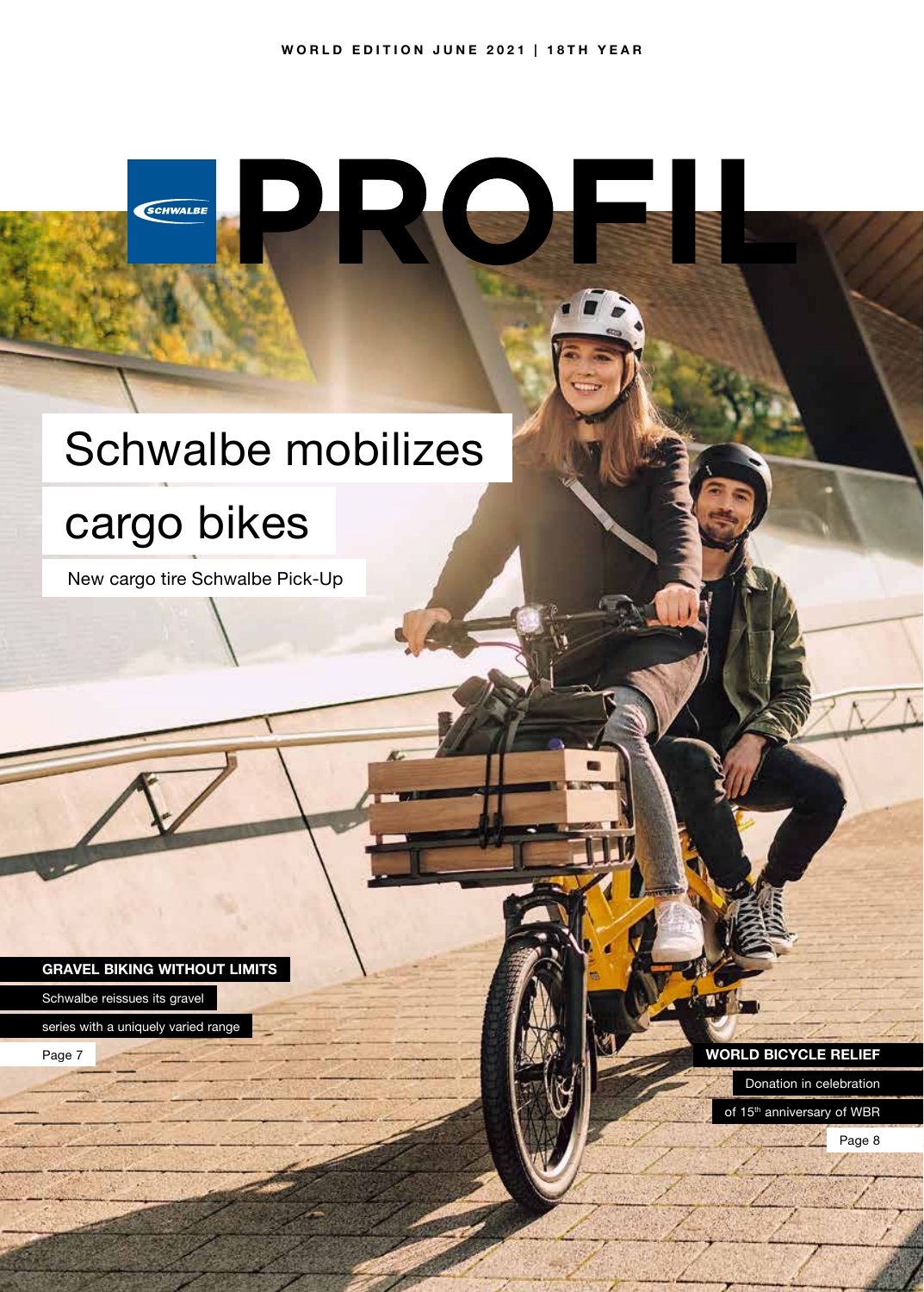# Schwalbe mobilizes

# cargo bikes

SCHWALBE

New cargo tire Schwalbe Pick-Up

**GRAVEL BIKING WITHOUT LIMITS**

Schwalbe reissues its gravel

series with a uniquely varied range

Page 7 **WORLD BICYCLE RELIEF** 

Donation in celebration of 15<sup>th</sup> anniversary of WBR

Page 8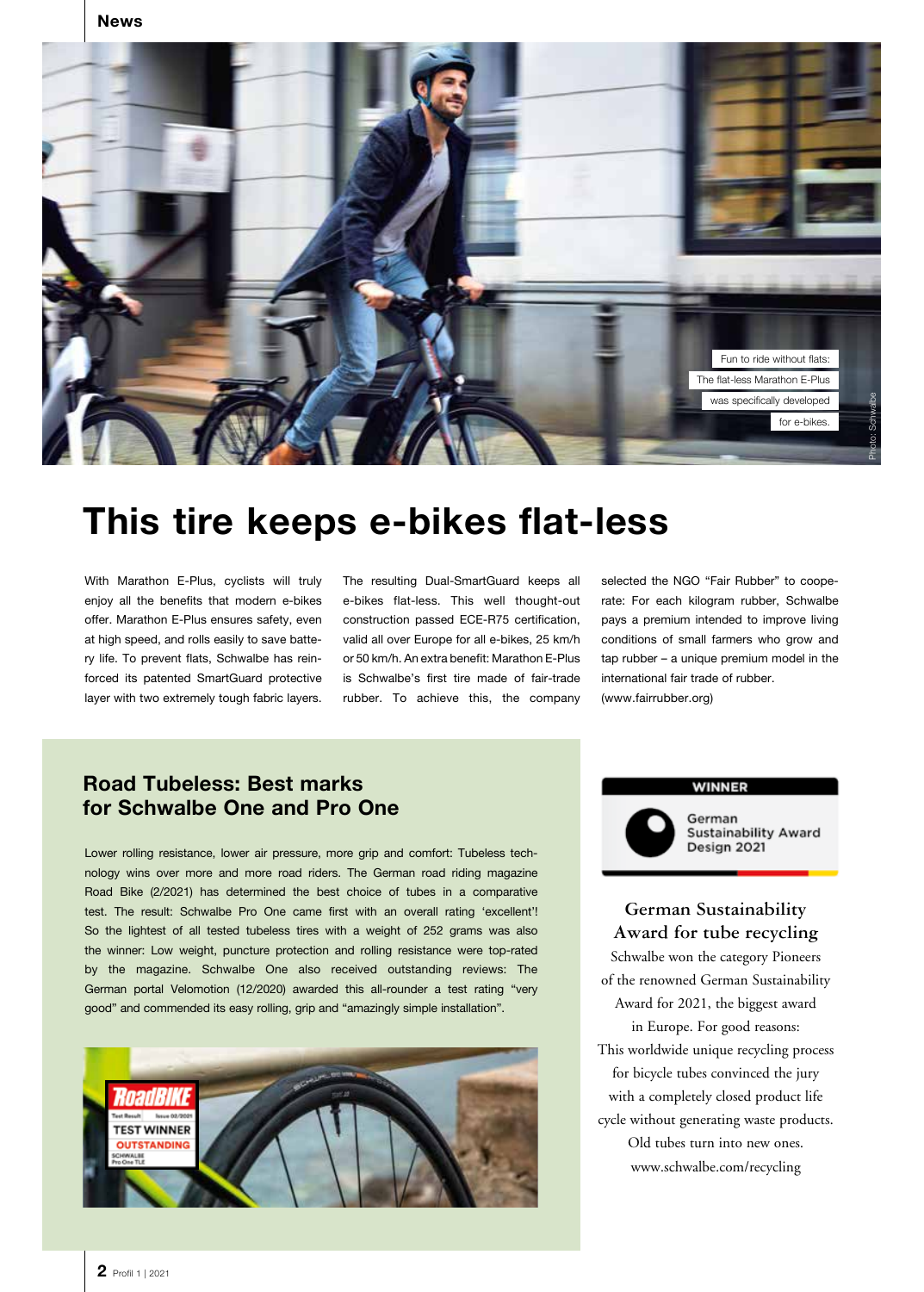

# **This tire keeps e-bikes flat-less**

With Marathon E-Plus, cyclists will truly enjoy all the benefits that modern e-bikes offer. Marathon E-Plus ensures safety, even at high speed, and rolls easily to save battery life. To prevent flats, Schwalbe has reinforced its patented SmartGuard protective layer with two extremely tough fabric layers. The resulting Dual-SmartGuard keeps all e-bikes flat-less. This well thought-out construction passed ECE-R75 certification, valid all over Europe for all e-bikes, 25 km/h or 50 km/h. An extra benefit: Marathon E-Plus is Schwalbe's first tire made of fair-trade rubber. To achieve this, the company

selected the NGO "Fair Rubber" to cooperate: For each kilogram rubber, Schwalbe pays a premium intended to improve living conditions of small farmers who grow and tap rubber – a unique premium model in the international fair trade of rubber. (www.fairrubber.org)

## **Road Tubeless: Best marks for Schwalbe One and Pro One**

Lower rolling resistance, lower air pressure, more grip and comfort: Tubeless technology wins over more and more road riders. The German road riding magazine Road Bike (2/2021) has determined the best choice of tubes in a comparative test. The result: Schwalbe Pro One came first with an overall rating 'excellent'! So the lightest of all tested tubeless tires with a weight of 252 grams was also the winner: Low weight, puncture protection and rolling resistance were top-rated by the magazine. Schwalbe One also received outstanding reviews: The German portal Velomotion (12/2020) awarded this all-rounder a test rating "very good" and commended its easy rolling, grip and "amazingly simple installation".



#### **WINNER**

German **Sustainability Award** Design 2021

#### **German Sustainability Award for tube recycling**

Schwalbe won the category Pioneers of the renowned German Sustainability Award for 2021, the biggest award in Europe. For good reasons: This worldwide unique recycling process for bicycle tubes convinced the jury with a completely closed product life cycle without generating waste products. Old tubes turn into new ones. www.schwalbe.com/recycling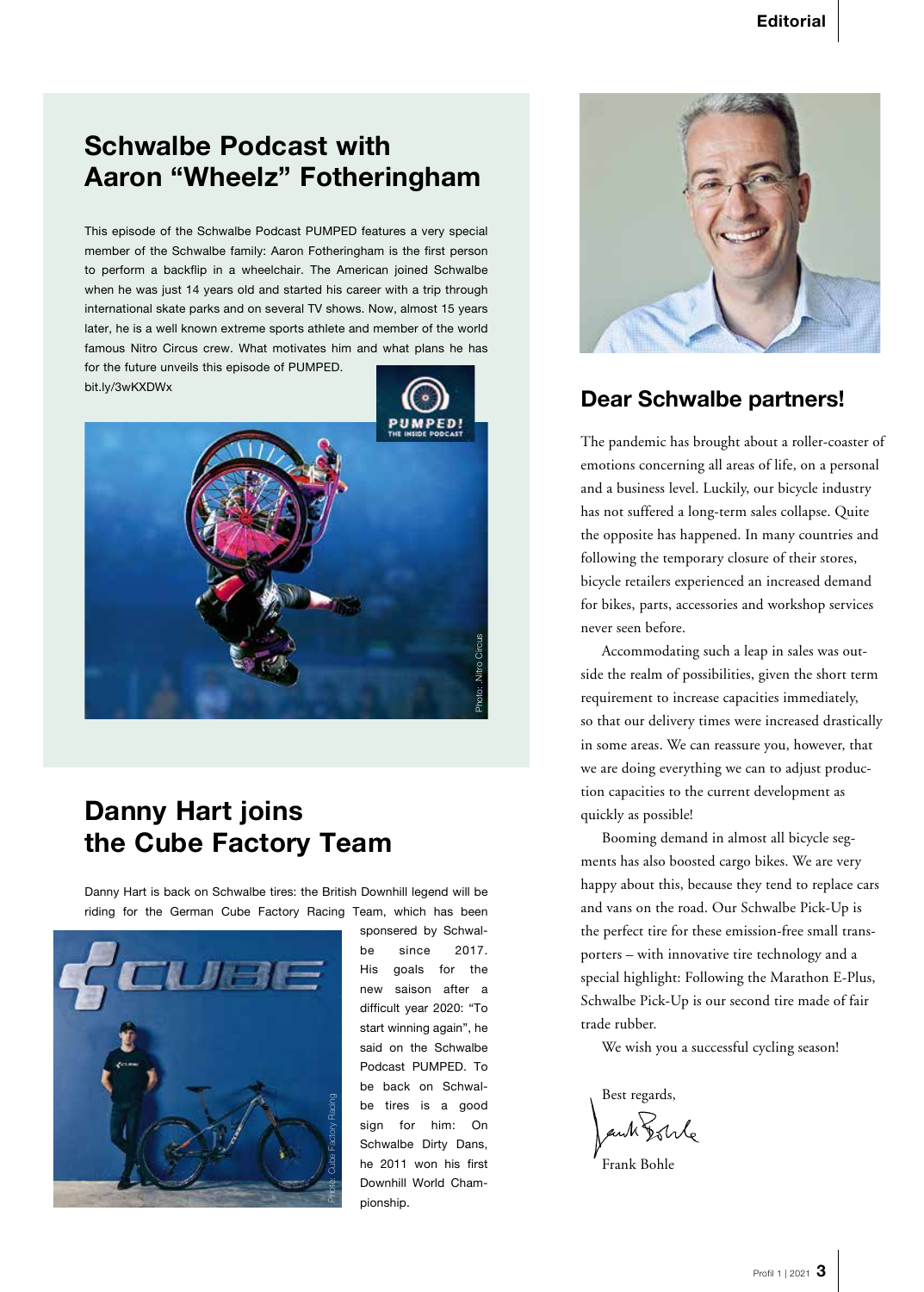## **Schwalbe Podcast with Aaron "Wheelz" Fotheringham**

This episode of the Schwalbe Podcast PUMPED features a very special member of the Schwalbe family: Aaron Fotheringham is the first person to perform a backflip in a wheelchair. The American joined Schwalbe when he was just 14 years old and started his career with a trip through international skate parks and on several TV shows. Now, almost 15 years later, he is a well known extreme sports athlete and member of the world famous Nitro Circus crew. What motivates him and what plans he has for the future unveils this episode of PUMPED.

bit.ly/3wKXDWx





# **Danny Hart joins the Cube Factory Team**

Danny Hart is back on Schwalbe tires: the British Downhill legend will be riding for the German Cube Factory Racing Team, which has been



sponsered by Schwalbe since 2017. His goals for the new saison after a difficult year 2020: "To start winning again", he said on the Schwalbe Podcast PUMPED. To be back on Schwalbe tires is a good sign for him: On Schwalbe Dirty Dans, he 2011 won his first Downhill World Championship.



## **Dear Schwalbe partners!**

The pandemic has brought about a roller-coaster of emotions concerning all areas of life, on a personal and a business level. Luckily, our bicycle industry has not suffered a long-term sales collapse. Quite the opposite has happened. In many countries and following the temporary closure of their stores, bicycle retailers experienced an increased demand for bikes, parts, accessories and workshop services never seen before.

Accommodating such a leap in sales was outside the realm of possibilities, given the short term requirement to increase capacities immediately, so that our delivery times were increased drastically in some areas. We can reassure you, however, that we are doing everything we can to adjust production capacities to the current development as quickly as possible!

Booming demand in almost all bicycle segments has also boosted cargo bikes. We are very happy about this, because they tend to replace cars and vans on the road. Our Schwalbe Pick-Up is the perfect tire for these emission-free small transporters – with innovative tire technology and a special highlight: Following the Marathon E-Plus, Schwalbe Pick-Up is our second tire made of fair trade rubber.

We wish you a successful cycling season!

Best regards,

ant Solle

Frank Bohle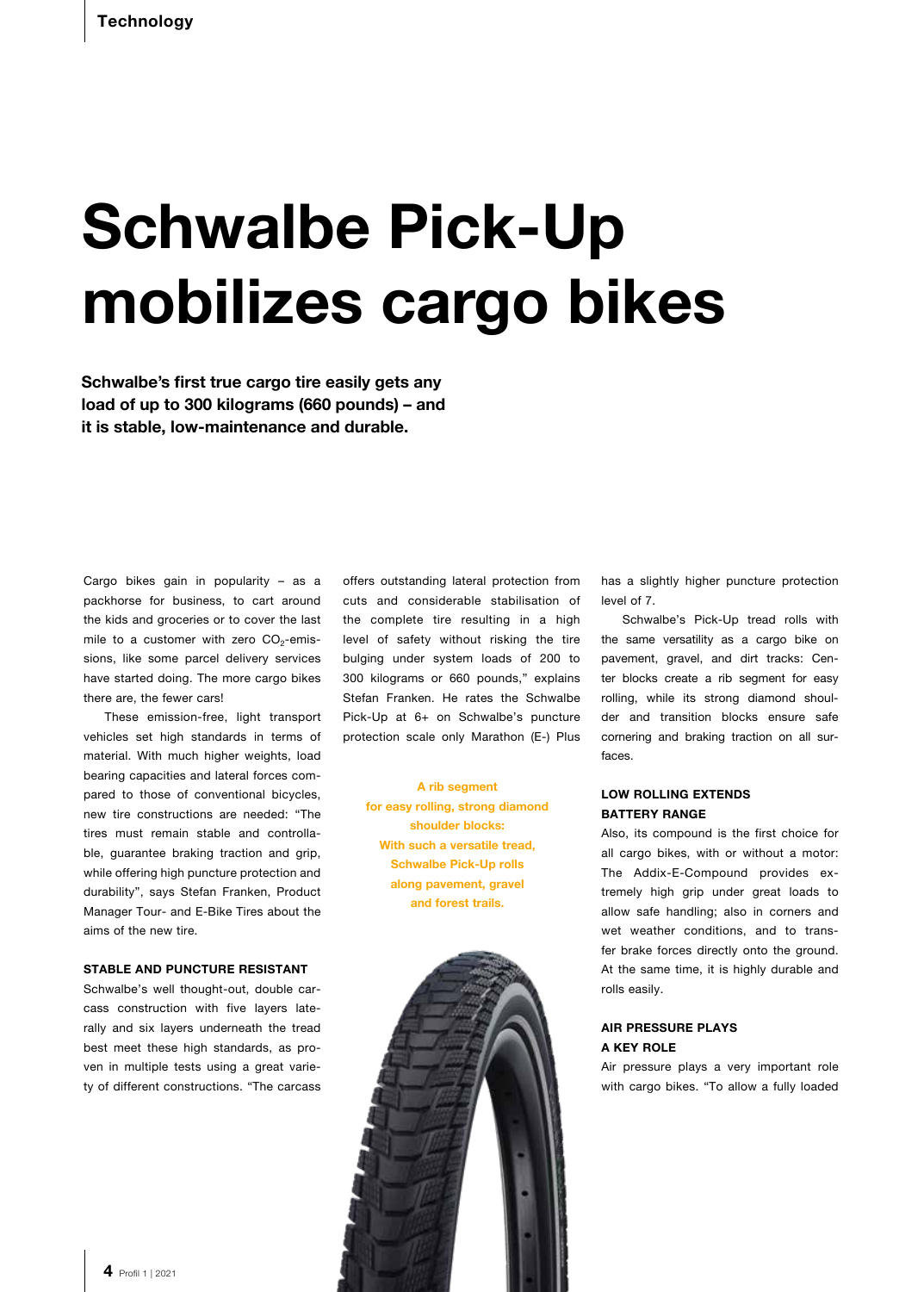# **Schwalbe Pick-Up mobilizes cargo bikes**

**Schwalbe's first true cargo tire easily gets any load of up to 300 kilograms (660 pounds) – and it is stable, low-maintenance and durable.** 

Cargo bikes gain in popularity – as a packhorse for business, to cart around the kids and groceries or to cover the last mile to a customer with zero  $CO<sub>2</sub>$ -emissions, like some parcel delivery services have started doing. The more cargo bikes there are, the fewer cars!

These emission-free, light transport vehicles set high standards in terms of material. With much higher weights, load bearing capacities and lateral forces compared to those of conventional bicycles, new tire constructions are needed: "The tires must remain stable and controllable, guarantee braking traction and grip, while offering high puncture protection and durability", says Stefan Franken, Product Manager Tour- and E-Bike Tires about the aims of the new tire.

#### **STABLE AND PUNCTURE RESISTANT**

Schwalbe's well thought-out, double carcass construction with five layers laterally and six layers underneath the tread best meet these high standards, as proven in multiple tests using a great variety of different constructions. "The carcass offers outstanding lateral protection from cuts and considerable stabilisation of the complete tire resulting in a high level of safety without risking the tire bulging under system loads of 200 to 300 kilograms or 660 pounds," explains Stefan Franken. He rates the Schwalbe Pick-Up at 6+ on Schwalbe's puncture protection scale only Marathon (E-) Plus

> **A rib segment for easy rolling, strong diamond shoulder blocks: With such a versatile tread, Schwalbe Pick-Up rolls along pavement, gravel and forest trails.**



has a slightly higher puncture protection level of 7.

Schwalbe's Pick-Up tread rolls with the same versatility as a cargo bike on pavement, gravel, and dirt tracks: Center blocks create a rib segment for easy rolling, while its strong diamond shoulder and transition blocks ensure safe cornering and braking traction on all surfaces.

#### **LOW ROLLING EXTENDS BATTERY RANGE**

Also, its compound is the first choice for all cargo bikes, with or without a motor: The Addix-E-Compound provides extremely high grip under great loads to allow safe handling; also in corners and wet weather conditions, and to transfer brake forces directly onto the ground. At the same time, it is highly durable and rolls easily.

#### **AIR PRESSURE PLAYS A KEY ROLE**

Air pressure plays a very important role with cargo bikes. "To allow a fully loaded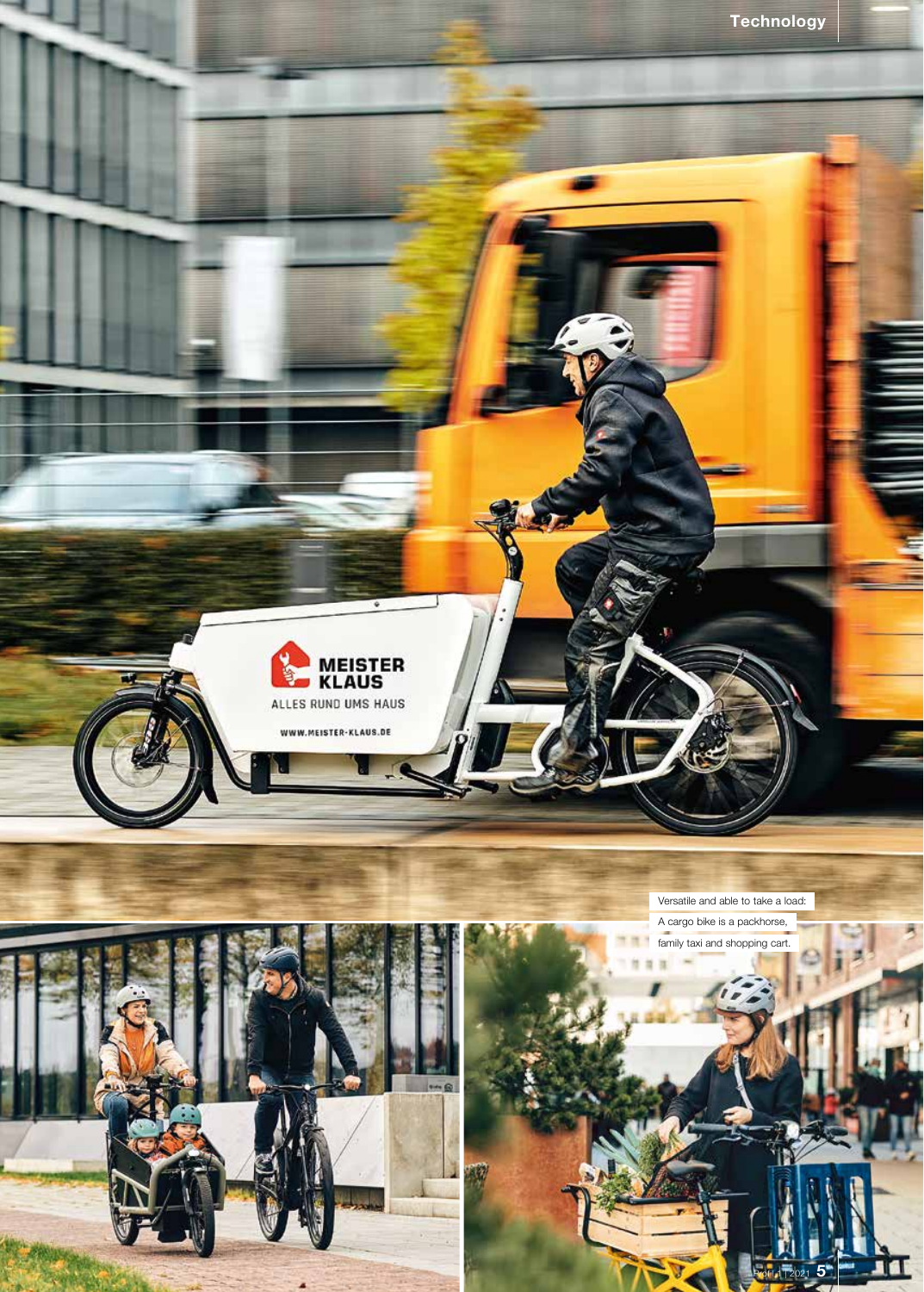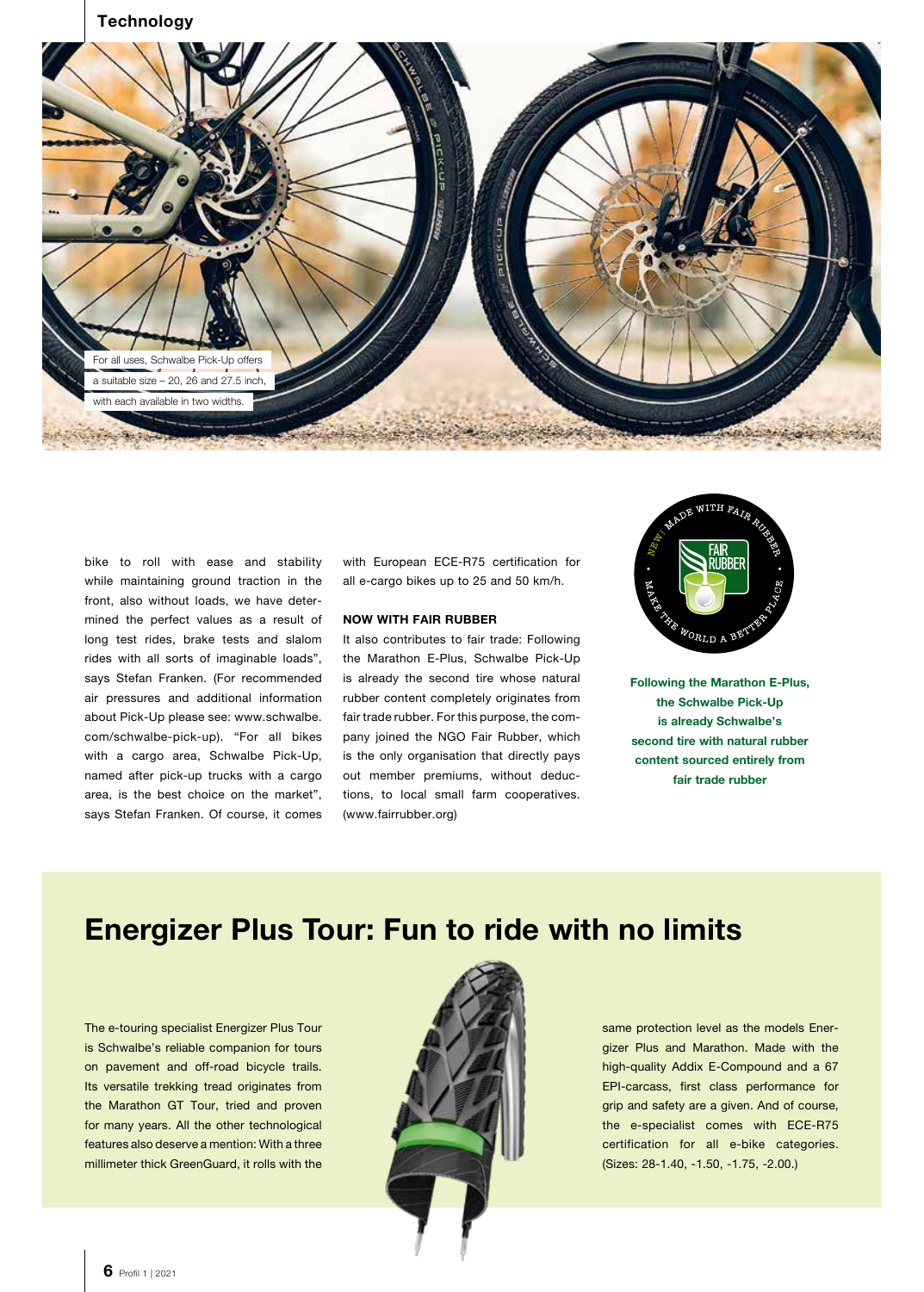

bike to roll with ease and stability while maintaining ground traction in the front, also without loads, we have determined the perfect values as a result of long test rides, brake tests and slalom rides with all sorts of imaginable loads", says Stefan Franken. (For recommended air pressures and additional information about Pick-Up please see: www.schwalbe. com/schwalbe-pick-up). "For all bikes with a cargo area, Schwalbe Pick-Up, named after pick-up trucks with a cargo area, is the best choice on the market", says Stefan Franken. Of course, it comes with European ECE-R75 certification for all e-cargo bikes up to 25 and 50 km/h.

#### **NOW WITH FAIR RUBBER**

It also contributes to fair trade: Following the Marathon E-Plus, Schwalbe Pick-Up is already the second tire whose natural rubber content completely originates from fair trade rubber. For this purpose, the company joined the NGO Fair Rubber, which is the only organisation that directly pays out member premiums, without deductions, to local small farm cooperatives. (www.fairrubber.org)



**Following the Marathon E-Plus, the Schwalbe Pick-Up is already Schwalbe's second tire with natural rubber content sourced entirely from fair trade rubber**

# **Energizer Plus Tour: Fun to ride with no limits**

The e-touring specialist Energizer Plus Tour is Schwalbe's reliable companion for tours on pavement and off-road bicycle trails. Its versatile trekking tread originates from the Marathon GT Tour, tried and proven for many years. All the other technological features also deserve a mention: With a three millimeter thick GreenGuard, it rolls with the



same protection level as the models Energizer Plus and Marathon. Made with the high-quality Addix E-Compound and a 67 EPI-carcass, first class performance for grip and safety are a given. And of course, the e-specialist comes with ECE-R75 certification for all e-bike categories. (Sizes: 28-1.40, -1.50, -1.75, -2.00.)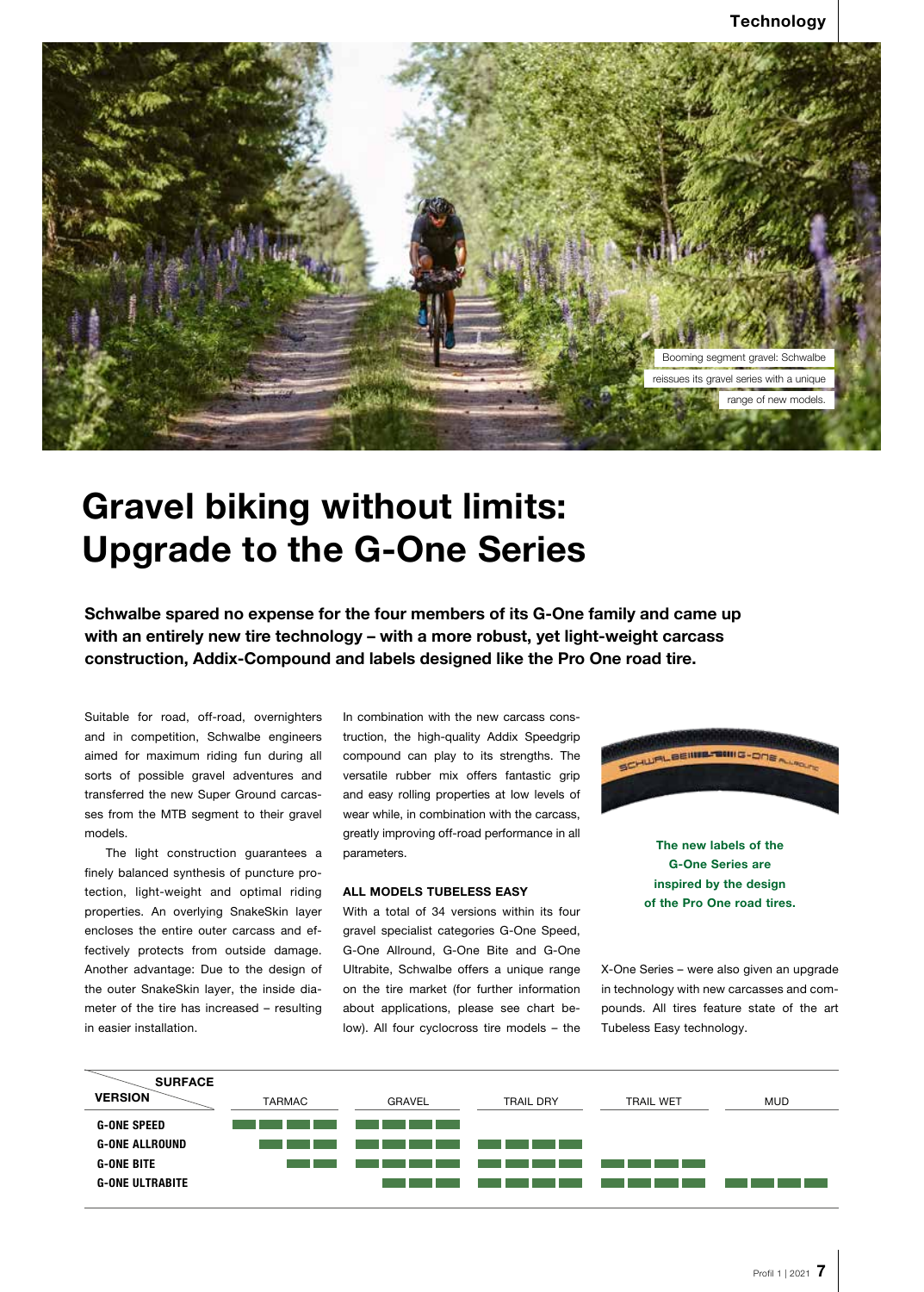

# **Gravel biking without limits: Upgrade to the G-One Series**

**Schwalbe spared no expense for the four members of its G-One family and came up with an entirely new tire technology – with a more robust, yet light-weight carcass construction, Addix-Compound and labels designed like the Pro One road tire.**

Suitable for road, off-road, overnighters and in competition, Schwalbe engineers aimed for maximum riding fun during all sorts of possible gravel adventures and transferred the new Super Ground carcasses from the MTB segment to their gravel models.

The light construction guarantees a finely balanced synthesis of puncture protection, light-weight and optimal riding properties. An overlying SnakeSkin layer encloses the entire outer carcass and effectively protects from outside damage. Another advantage: Due to the design of the outer SnakeSkin layer, the inside diameter of the tire has increased – resulting in easier installation.

In combination with the new carcass construction, the high-quality Addix Speedgrip compound can play to its strengths. The versatile rubber mix offers fantastic grip and easy rolling properties at low levels of wear while, in combination with the carcass, greatly improving off-road performance in all parameters.

#### **ALL MODELS TUBELESS EASY**

With a total of 34 versions within its four gravel specialist categories G-One Speed, G-One Allround, G-One Bite and G-One Ultrabite, Schwalbe offers a unique range on the tire market (for further information about applications, please see chart below). All four cyclocross tire models – the



**The new labels of the G-One Series are inspired by the design of the Pro One road tires.**

X-One Series – were also given an upgrade in technology with new carcasses and compounds. All tires feature state of the art Tubeless Easy technology.